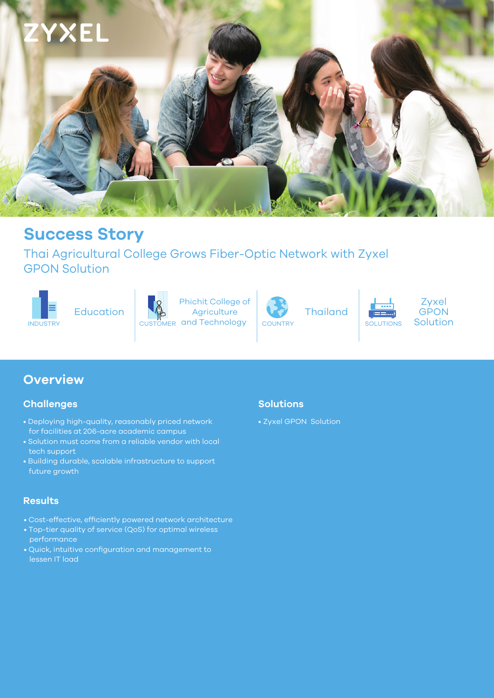

# **Success Story**

Thai Agricultural College Grows Fiber-Optic Network with Zyxel GPON Solution



Education



INDUSTRY **SOLUTIONS** CUSTOMER and Technology COUNTRY SOLUTIONS SOLUTIONS Phichit College of **Agriculture** 



Thailand



## **Overview**

#### **Challenges**

- Deploying high-quality, reasonably priced network for facilities at 206-acre academic campus
- Solution must come from a reliable vendor with local tech support
- Building durable, scalable infrastructure to support future growth

#### **Results**

- Cost-effective, efficiently powered network architecture
- Top-tier quality of service (QoS) for optimal wireless performance
- Quick, intuitive configuration and management to lessen IT load

#### **Solutions**

• Zyxel GPON Solution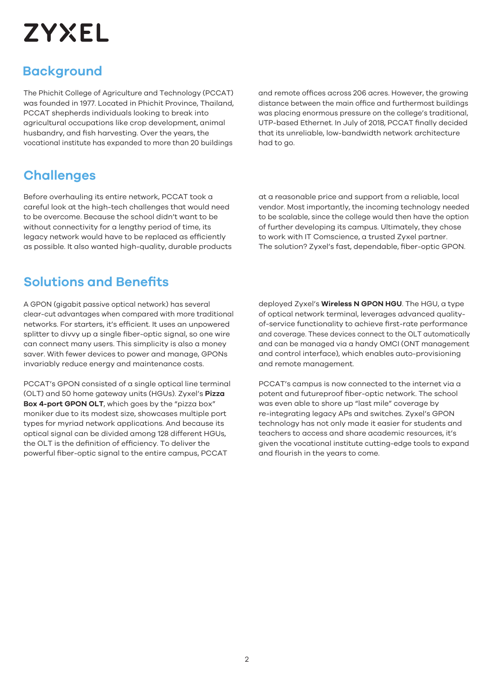# **ZYXEL**

# **Background**

The Phichit College of Agriculture and Technology (PCCAT) was founded in 1977. Located in Phichit Province, Thailand, PCCAT shepherds individuals looking to break into agricultural occupations like crop development, animal husbandry, and fish harvesting. Over the years, the vocational institute has expanded to more than 20 buildings

and remote offices across 206 acres. However, the growing distance between the main office and furthermost buildings was placing enormous pressure on the college's traditional, UTP-based Ethernet. In July of 2018, PCCAT finally decided that its unreliable, low-bandwidth network architecture had to go.

# **Challenges**

Before overhauling its entire network, PCCAT took a careful look at the high-tech challenges that would need to be overcome. Because the school didn't want to be without connectivity for a lengthy period of time, its legacy network would have to be replaced as efficiently as possible. It also wanted high-quality, durable products at a reasonable price and support from a reliable, local vendor. Most importantly, the incoming technology needed to be scalable, since the college would then have the option of further developing its campus. Ultimately, they chose to work with IT Comscience, a trusted Zyxel partner. The solution? Zyxel's fast, dependable, fiber-optic GPON.

# **Solutions and Benefits**

A GPON (gigabit passive optical network) has several clear-cut advantages when compared with more traditional networks. For starters, it's efficient. It uses an unpowered splitter to divvy up a single fiber-optic signal, so one wire can connect many users. This simplicity is also a money saver. With fewer devices to power and manage, GPONs invariably reduce energy and maintenance costs.

PCCAT's GPON consisted of a single optical line terminal (OLT) and 50 home gateway units (HGUs). Zyxel's **Pizza Box 4-port GPON OLT**, which goes by the "pizza box" moniker due to its modest size, showcases multiple port types for myriad network applications. And because its optical signal can be divided among 128 different HGUs, the OLT is the definition of efficiency. To deliver the powerful fiber-optic signal to the entire campus, PCCAT

deployed Zyxel's **Wireless N GPON HGU**. The HGU, a type of optical network terminal, leverages advanced qualityof-service functionality to achieve first-rate performance and coverage. These devices connect to the OLT automatically and can be managed via a handy OMCI (ONT management and control interface), which enables auto-provisioning and remote management.

PCCAT's campus is now connected to the internet via a potent and futureproof fiber-optic network. The school was even able to shore up "last mile" coverage by re-integrating legacy APs and switches. Zyxel's GPON technology has not only made it easier for students and teachers to access and share academic resources, it's given the vocational institute cutting-edge tools to expand and flourish in the years to come.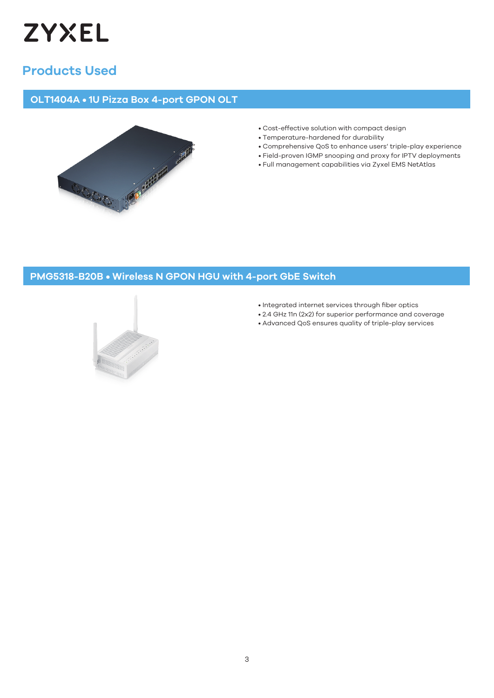![](_page_2_Picture_0.jpeg)

# **Products Used**

#### **OLT1404A • 1U Pizza Box 4-port GPON OLT**

![](_page_2_Picture_3.jpeg)

- Cost-effective solution with compact design
- Temperature-hardened for durability
- Comprehensive QoS to enhance users' triple-play experience
- Field-proven IGMP snooping and proxy for IPTV deployments • Full management capabilities via Zyxel EMS NetAtlas

#### **PMG5318-B20B • Wireless N GPON HGU with 4-port GbE Switch**

![](_page_2_Picture_10.jpeg)

- Integrated internet services through fiber optics
- 2.4 GHz 11n (2x2) for superior performance and coverage
- Advanced QoS ensures quality of triple-play services